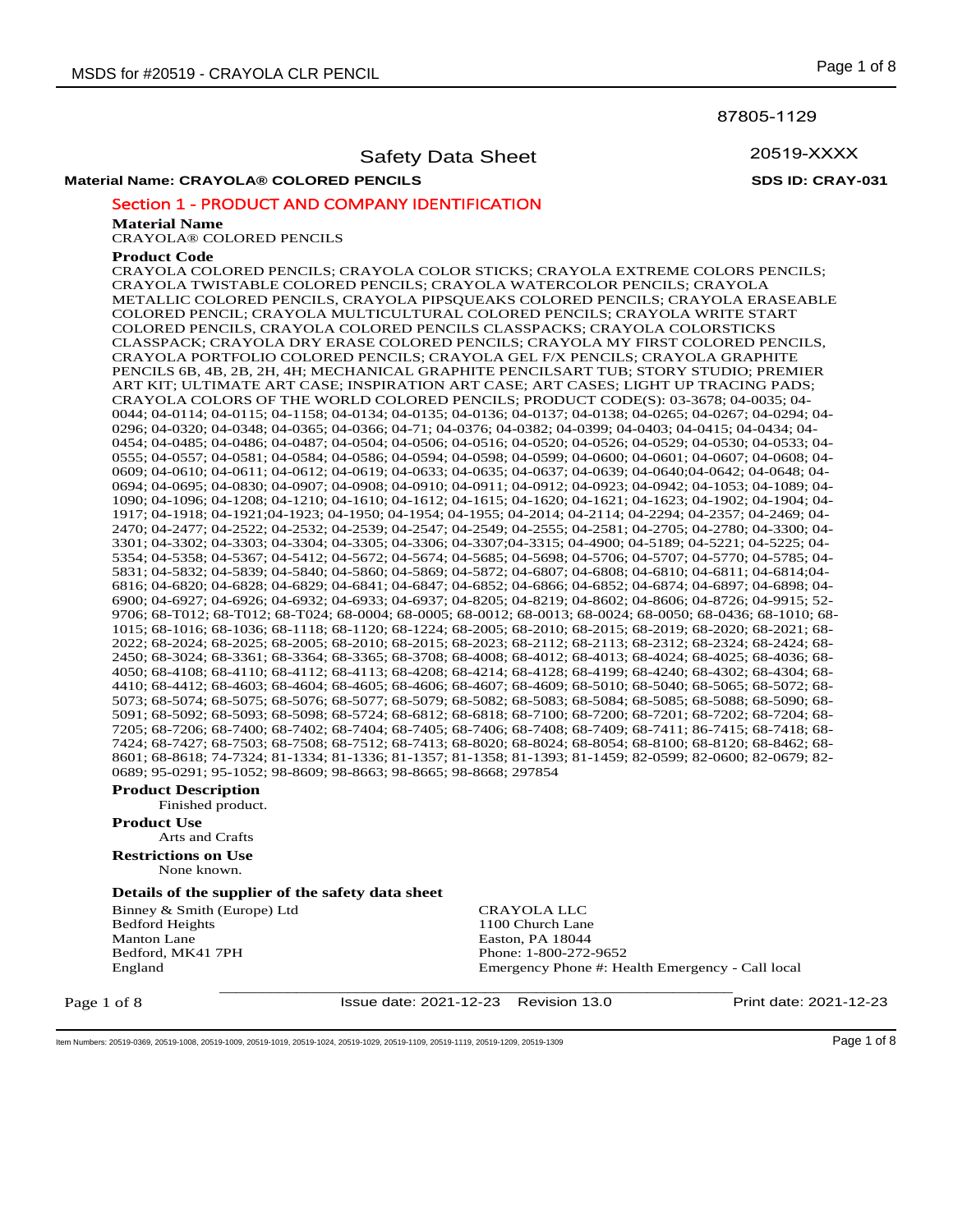87805-1129

20519-XXXX

## Safety Data Sheet

**Material Name: CRAYOLA® COLORED PENCILS SDS ID: CRAY-031**

## Section 1 - PRODUCT AND COMPANY IDENTIFICATION

#### **Material Name**

CRAYOLA® COLORED PENCILS

#### **Product Code**

CRAYOLA COLORED PENCILS; CRAYOLA COLOR STICKS; CRAYOLA EXTREME COLORS PENCILS; CRAYOLA TWISTABLE COLORED PENCILS; CRAYOLA WATERCOLOR PENCILS; CRAYOLA METALLIC COLORED PENCILS, CRAYOLA PIPSQUEAKS COLORED PENCILS; CRAYOLA ERASEABLE COLORED PENCIL; CRAYOLA MULTICULTURAL COLORED PENCILS; CRAYOLA WRITE START COLORED PENCILS, CRAYOLA COLORED PENCILS CLASSPACKS; CRAYOLA COLORSTICKS CLASSPACK; CRAYOLA DRY ERASE COLORED PENCILS; CRAYOLA MY FIRST COLORED PENCILS, CRAYOLA PORTFOLIO COLORED PENCILS; CRAYOLA GEL F/X PENCILS; CRAYOLA GRAPHITE PENCILS 6B, 4B, 2B, 2H, 4H; MECHANICAL GRAPHITE PENCILSART TUB; STORY STUDIO; PREMIER ART KIT; ULTIMATE ART CASE; INSPIRATION ART CASE; ART CASES; LIGHT UP TRACING PADS; CRAYOLA COLORS OF THE WORLD COLORED PENCILS; PRODUCT CODE(S): 03-3678; 04-0035; 04- 0044; 04-0114; 04-0115; 04-1158; 04-0134; 04-0135; 04-0136; 04-0137; 04-0138; 04-0265; 04-0267; 04-0294; 04- 0296; 04-0320; 04-0348; 04-0365; 04-0366; 04-71; 04-0376; 04-0382; 04-0399; 04-0403; 04-0415; 04-0434; 04- 0454; 04-0485; 04-0486; 04-0487; 04-0504; 04-0506; 04-0516; 04-0520; 04-0526; 04-0529; 04-0530; 04-0533; 04- 0555; 04-0557; 04-0581; 04-0584; 04-0586; 04-0594; 04-0598; 04-0599; 04-0600; 04-0601; 04-0607; 04-0608; 04- 0609; 04-0610; 04-0611; 04-0612; 04-0619; 04-0633; 04-0635; 04-0637; 04-0639; 04-0640;04-0642; 04-0648; 04- 0694; 04-0695; 04-0830; 04-0907; 04-0908; 04-0910; 04-0911; 04-0912; 04-0923; 04-0942; 04-1053; 04-1089; 04- 1090; 04-1096; 04-1208; 04-1210; 04-1610; 04-1612; 04-1615; 04-1620; 04-1621; 04-1623; 04-1902; 04-1904; 04- 1917; 04-1918; 04-1921;04-1923; 04-1950; 04-1954; 04-1955; 04-2014; 04-2114; 04-2294; 04-2357; 04-2469; 04- 2470; 04-2477; 04-2522; 04-2532; 04-2539; 04-2547; 04-2549; 04-2555; 04-2581; 04-2705; 04-2780; 04-3300; 04- 3301; 04-3302; 04-3303; 04-3304; 04-3305; 04-3306; 04-3307;04-3315; 04-4900; 04-5189; 04-5221; 04-5225; 04- 5354; 04-5358; 04-5367; 04-5412; 04-5672; 04-5674; 04-5685; 04-5698; 04-5706; 04-5707; 04-5770; 04-5785; 04- 5831; 04-5832; 04-5839; 04-5840; 04-5860; 04-5869; 04-5872; 04-6807; 04-6808; 04-6810; 04-6811; 04-6814;04- 6816; 04-6820; 04-6828; 04-6829; 04-6841; 04-6847; 04-6852; 04-6866; 04-6852; 04-6874; 04-6897; 04-6898; 04- 6900; 04-6927; 04-6926; 04-6932; 04-6933; 04-6937; 04-8205; 04-8219; 04-8602; 04-8606; 04-8726; 04-9915; 52- 9706; 68-T012; 68-T012; 68-T024; 68-0004; 68-0005; 68-0012; 68-0013; 68-0024; 68-0050; 68-0436; 68-1010; 68- 1015; 68-1016; 68-1036; 68-1118; 68-1120; 68-1224; 68-2005; 68-2010; 68-2015; 68-2019; 68-2020; 68-2021; 68- 2022; 68-2024; 68-2025; 68-2005; 68-2010; 68-2015; 68-2023; 68-2112; 68-2113; 68-2312; 68-2324; 68-2424; 68- 2450; 68-3024; 68-3361; 68-3364; 68-3365; 68-3708; 68-4008; 68-4012; 68-4013; 68-4024; 68-4025; 68-4036; 68- 4050; 68-4108; 68-4110; 68-4112; 68-4113; 68-4208; 68-4214; 68-4128; 68-4199; 68-4240; 68-4302; 68-4304; 68- 4410; 68-4412; 68-4603; 68-4604; 68-4605; 68-4606; 68-4607; 68-4609; 68-5010; 68-5040; 68-5065; 68-5072; 68- 5073; 68-5074; 68-5075; 68-5076; 68-5077; 68-5079; 68-5082; 68-5083; 68-5084; 68-5085; 68-5088; 68-5090; 68- 5091; 68-5092; 68-5093; 68-5098; 68-5724; 68-6812; 68-6818; 68-7100; 68-7200; 68-7201; 68-7202; 68-7204; 68- 7205; 68-7206; 68-7400; 68-7402; 68-7404; 68-7405; 68-7406; 68-7408; 68-7409; 68-7411; 86-7415; 68-7418; 68- 7424; 68-7427; 68-7503; 68-7508; 68-7512; 68-7413; 68-8020; 68-8024; 68-8054; 68-8100; 68-8120; 68-8462; 68- 8601; 68-8618; 74-7324; 81-1334; 81-1336; 81-1357; 81-1358; 81-1393; 81-1459; 82-0599; 82-0600; 82-0679; 82- 0689; 95-0291; 95-1052; 98-8609; 98-8663; 98-8665; 98-8668; 297854

## **Product Description**

Finished product.

## **Product Use**

Arts and Crafts **Restrictions on Use**

None known.

#### **Details of the supplier of the safety data sheet**

Binney & Smith (Europe) Ltd Bedford Heights Manton Lane Bedford, MK41 7PH England

CRAYOLA LLC 1100 Church Lane Easton, PA 18044 Phone: 1-800-272-9652 Emergency Phone #: Health Emergency - Call local

Page 1 of 8

Issue date: 2021-12-23 Revision 13.0 Print date: 2021-12-23

\_\_\_\_\_\_\_\_\_\_\_\_\_\_\_\_\_\_\_\_\_\_\_\_\_\_\_\_\_\_\_\_\_\_\_\_\_\_\_\_\_\_\_\_\_\_\_\_\_\_\_\_\_\_\_\_\_\_\_\_

Item Numbers: 20519-0369, 20519-1008, 20519-1009, 20519-1019, 20519-1029, 20519-1029, 20519-1109, 20519-1119, 20519-1209, 20519-1309 Page 1 of 8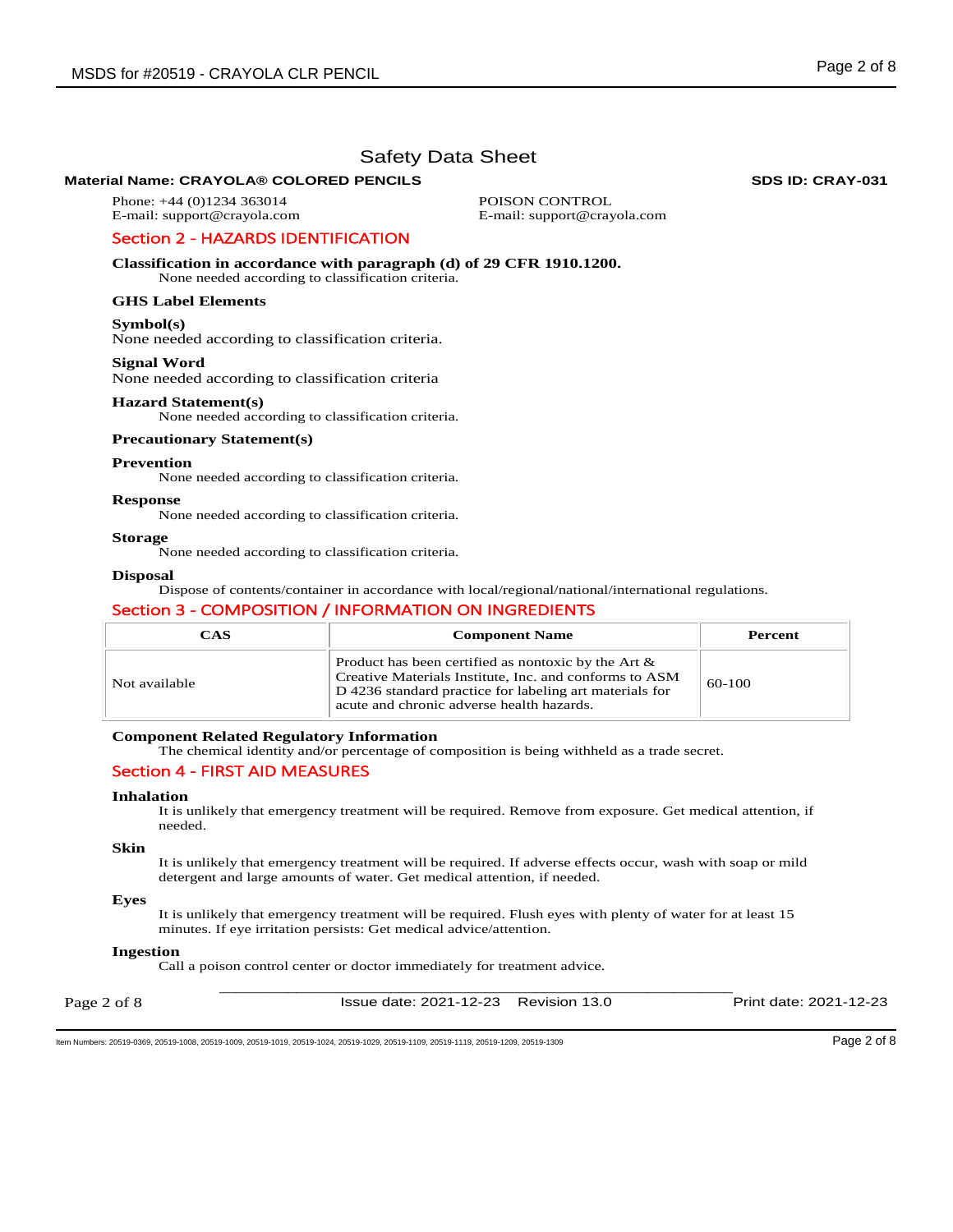## **Material Name: CRAYOLA® COLORED PENCILS SDS ID: CRAY-031 SDS ID: CRAY-031**

Phone: +44 (0)1234 363014 E-mail: support@crayola.com POISON CONTROL E-mail: support@crayola.com

# Section 2 - HAZARDS IDENTIFICATION

**Classification in accordance with paragraph (d) of 29 CFR 1910.1200.** 

None needed according to classification criteria.

## **GHS Label Elements**

**Symbol(s)** 

None needed according to classification criteria.

## **Signal Word**

None needed according to classification criteria

## **Hazard Statement(s)**

None needed according to classification criteria.

## **Precautionary Statement(s)**

## **Prevention**

None needed according to classification criteria.

#### **Response**

None needed according to classification criteria.

#### **Storage**

None needed according to classification criteria.

## **Disposal**

Dispose of contents/container in accordance with local/regional/national/international regulations.

## Section 3 - COMPOSITION / INFORMATION ON INGREDIENTS

| <b>CAS</b>    | <b>Component Name</b>                                                                                                                                                                                                    | Percent  |
|---------------|--------------------------------------------------------------------------------------------------------------------------------------------------------------------------------------------------------------------------|----------|
| Not available | Product has been certified as nontoxic by the Art $\&$<br>Creative Materials Institute, Inc. and conforms to ASM<br>D 4236 standard practice for labeling art materials for<br>acute and chronic adverse health hazards. | $60-100$ |

#### **Component Related Regulatory Information**

The chemical identity and/or percentage of composition is being withheld as a trade secret.

## Section 4 - FIRST AID MEASURES

## **Inhalation**

It is unlikely that emergency treatment will be required. Remove from exposure. Get medical attention, if needed.

#### **Skin**

It is unlikely that emergency treatment will be required. If adverse effects occur, wash with soap or mild detergent and large amounts of water. Get medical attention, if needed.

#### **Eyes**

It is unlikely that emergency treatment will be required. Flush eyes with plenty of water for at least 15 minutes. If eye irritation persists: Get medical advice/attention.

#### **Ingestion**

Call a poison control center or doctor immediately for treatment advice.

| Page 2 of 8 | Issue date: 2021-12-23 Revision 13.0 | Print date: 2021-12-23 |
|-------------|--------------------------------------|------------------------|
|             |                                      |                        |

Item Numbers: 20519-0369, 20519-1008, 20519-1009, 20519-1019, 20519-1024, 20519-1029, 20519-1109, 20519-1119, 20519-1209, 20519-1309 Page 2 of 8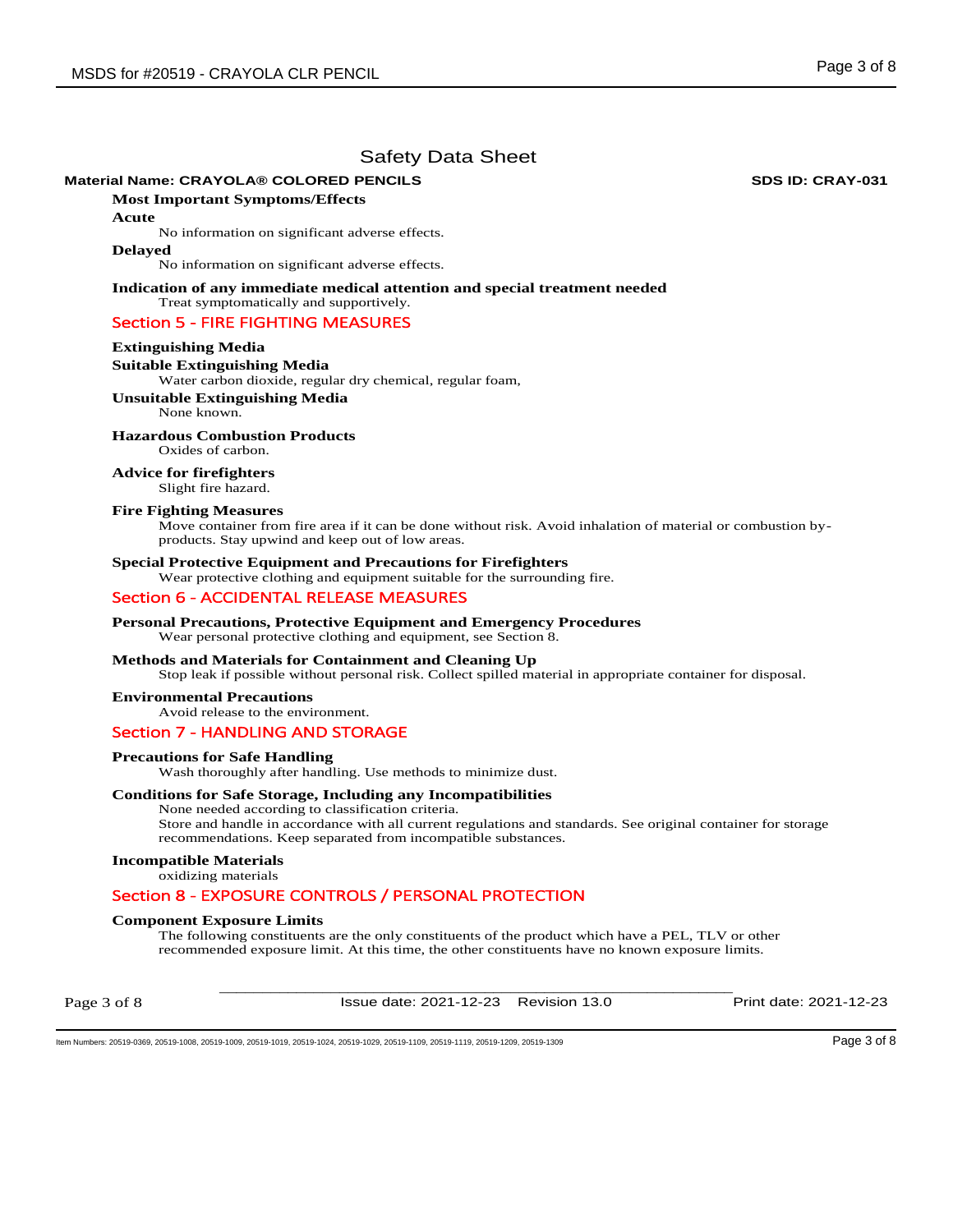## **Material Name: CRAYOLA® COLORED PENCILS SDS ID: CRAY-031 SDS ID: CRAY-031**

**Most Important Symptoms/Effects** 

**Acute** 

No information on significant adverse effects.

#### **Delayed**

No information on significant adverse effects.

**Indication of any immediate medical attention and special treatment needed**  Treat symptomatically and supportively.

## Section 5 - FIRE FIGHTING MEASURES

#### **Extinguishing Media**

## **Suitable Extinguishing Media**

Water carbon dioxide, regular dry chemical, regular foam,

## **Unsuitable Extinguishing Media**

None known.

## **Hazardous Combustion Products**

Oxides of carbon.

**Advice for firefighters**  Slight fire hazard.

#### **Fire Fighting Measures**

Move container from fire area if it can be done without risk. Avoid inhalation of material or combustion byproducts. Stay upwind and keep out of low areas.

## **Special Protective Equipment and Precautions for Firefighters**

Wear protective clothing and equipment suitable for the surrounding fire.

## Section 6 - ACCIDENTAL RELEASE MEASURES

#### **Personal Precautions, Protective Equipment and Emergency Procedures**

#### Wear personal protective clothing and equipment, see Section 8.

## **Methods and Materials for Containment and Cleaning Up**

Stop leak if possible without personal risk. Collect spilled material in appropriate container for disposal.

#### **Environmental Precautions**

Avoid release to the environment.

## Section 7 - HANDLING AND STORAGE

#### **Precautions for Safe Handling**

Wash thoroughly after handling. Use methods to minimize dust.

## **Conditions for Safe Storage, Including any Incompatibilities**

None needed according to classification criteria. Store and handle in accordance with all current regulations and standards. See original container for storage recommendations. Keep separated from incompatible substances.

#### **Incompatible Materials**

oxidizing materials

## Section 8 - EXPOSURE CONTROLS / PERSONAL PROTECTION

## **Component Exposure Limits**

The following constituents are the only constituents of the product which have a PEL, TLV or other recommended exposure limit. At this time, the other constituents have no known exposure limits.

Page 3 of 8

\_\_\_\_\_\_\_\_\_\_\_\_\_\_\_\_\_\_\_\_\_\_\_\_\_\_\_\_\_\_\_\_\_\_\_\_\_\_\_\_\_\_\_\_\_\_\_\_\_\_\_\_\_\_\_\_\_\_\_\_ Issue date: 2021-12-23 Revision 13.0 Print date: 2021-12-23

Item Numbers: 20519-0369, 20519-1008, 20519-1009, 20519-1019, 20519-1029, 20519-1029, 20519-1119, 20519-1119, 20519-1209, 20519-1309 Page 3 of 8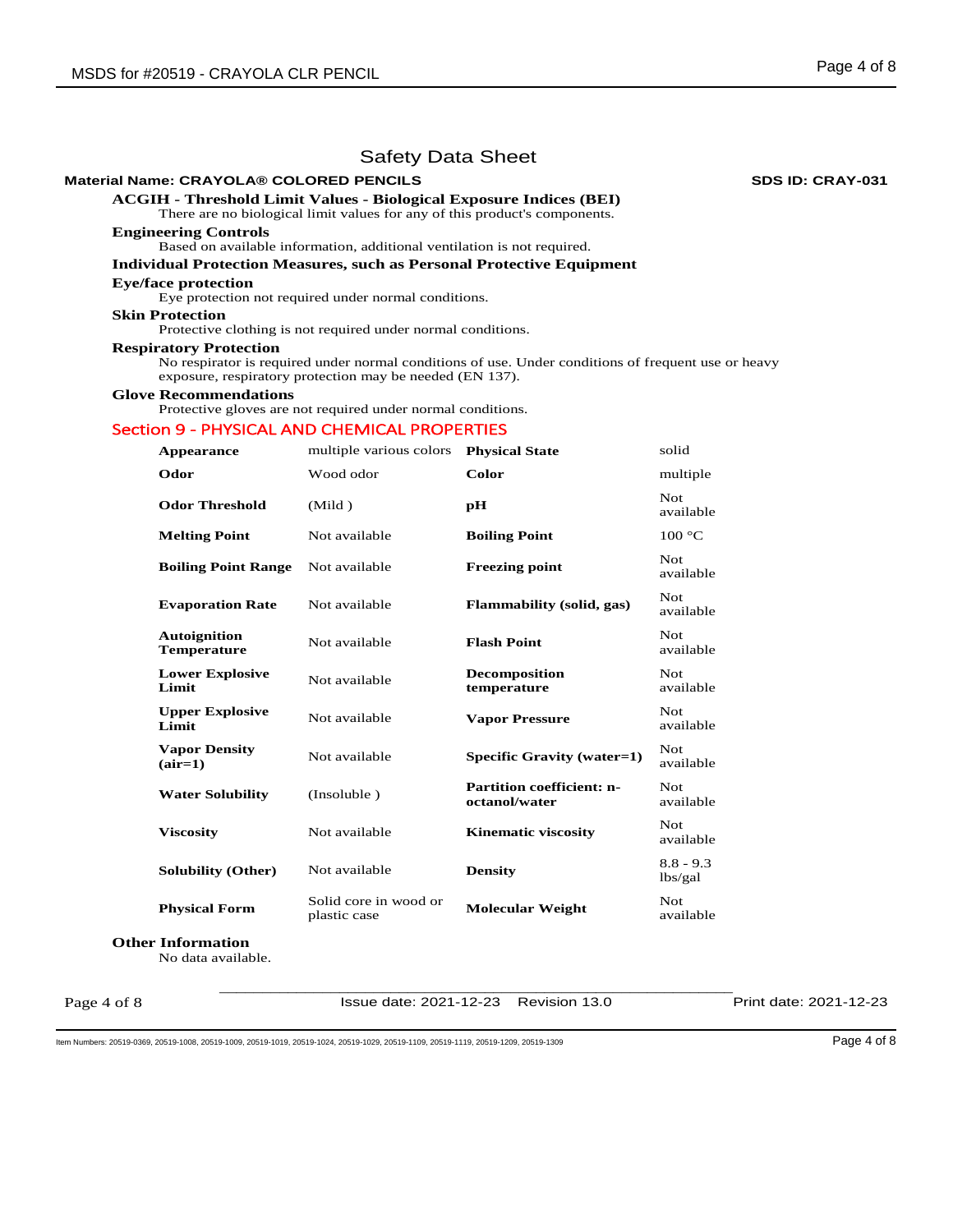## **Material Name: CRAYOLA® COLORED PENCILS SDS ID: CRAY-031**

**ACGIH - Threshold Limit Values - Biological Exposure Indices (BEI)** 

# There are no biological limit values for any of this product's components.

# **Engineering Controls**

Based on available information, additional ventilation is not required.

## **Individual Protection Measures, such as Personal Protective Equipment**

## **Eye/face protection**

Eye protection not required under normal conditions.

## **Skin Protection**

Protective clothing is not required under normal conditions.

## **Respiratory Protection**

No respirator is required under normal conditions of use. Under conditions of frequent use or heavy exposure, respiratory protection may be needed (EN 137).

#### **Glove Recommendations**

Protective gloves are not required under normal conditions.

## Section 9 - PHYSICAL AND CHEMICAL PROPERTIES

| <b>Appearance</b>                         | multiple various colors               | <b>Physical State</b>                             | solid                   |
|-------------------------------------------|---------------------------------------|---------------------------------------------------|-------------------------|
| Odor                                      | Wood odor                             | Color                                             | multiple                |
| <b>Odor Threshold</b>                     | (Mild)                                | pН                                                | Not.<br>available       |
| <b>Melting Point</b>                      | Not available                         | <b>Boiling Point</b>                              | 100 °C                  |
| <b>Boiling Point Range</b>                | Not available                         | <b>Freezing point</b>                             | Not.<br>available       |
| <b>Evaporation Rate</b>                   | Not available                         | Flammability (solid, gas)                         | <b>Not</b><br>available |
| <b>Autoignition</b><br><b>Temperature</b> | Not available                         | <b>Flash Point</b>                                | Not.<br>available       |
| <b>Lower Explosive</b><br>Limit           | Not available                         | <b>Decomposition</b><br>temperature               | Not<br>available        |
| <b>Upper Explosive</b><br>Limit           | Not available                         | <b>Vapor Pressure</b>                             | Not<br>available        |
| <b>Vapor Density</b><br>$(air=1)$         | Not available                         | Specific Gravity (water=1)                        | Not.<br>available       |
| <b>Water Solubility</b>                   | (Insoluble)                           | <b>Partition coefficient: n-</b><br>octanol/water | Not.<br>available       |
| <b>Viscosity</b>                          | Not available                         | <b>Kinematic viscosity</b>                        | Not<br>available        |
| <b>Solubility (Other)</b>                 | Not available                         | <b>Density</b>                                    | $8.8 - 9.3$<br>lbs/gal  |
| <b>Physical Form</b>                      | Solid core in wood or<br>plastic case | <b>Molecular Weight</b>                           | Not.<br>available       |

**Other Information**

No data available.

Page 4 of 8

\_\_\_\_\_\_\_\_\_\_\_\_\_\_\_\_\_\_\_\_\_\_\_\_\_\_\_\_\_\_\_\_\_\_\_\_\_\_\_\_\_\_\_\_\_\_\_\_\_\_\_\_\_\_\_\_\_\_\_\_ Issue date: 2021-12-23 Revision 13.0 Print date: 2021-12-23

Item Numbers: 20519-0369, 20519-1008, 20519-1009, 20519-1019, 20519-1024, 20519-1029, 20519-1109, 20519-1119, 20519-1209, 20519-1309 Page 4 of 8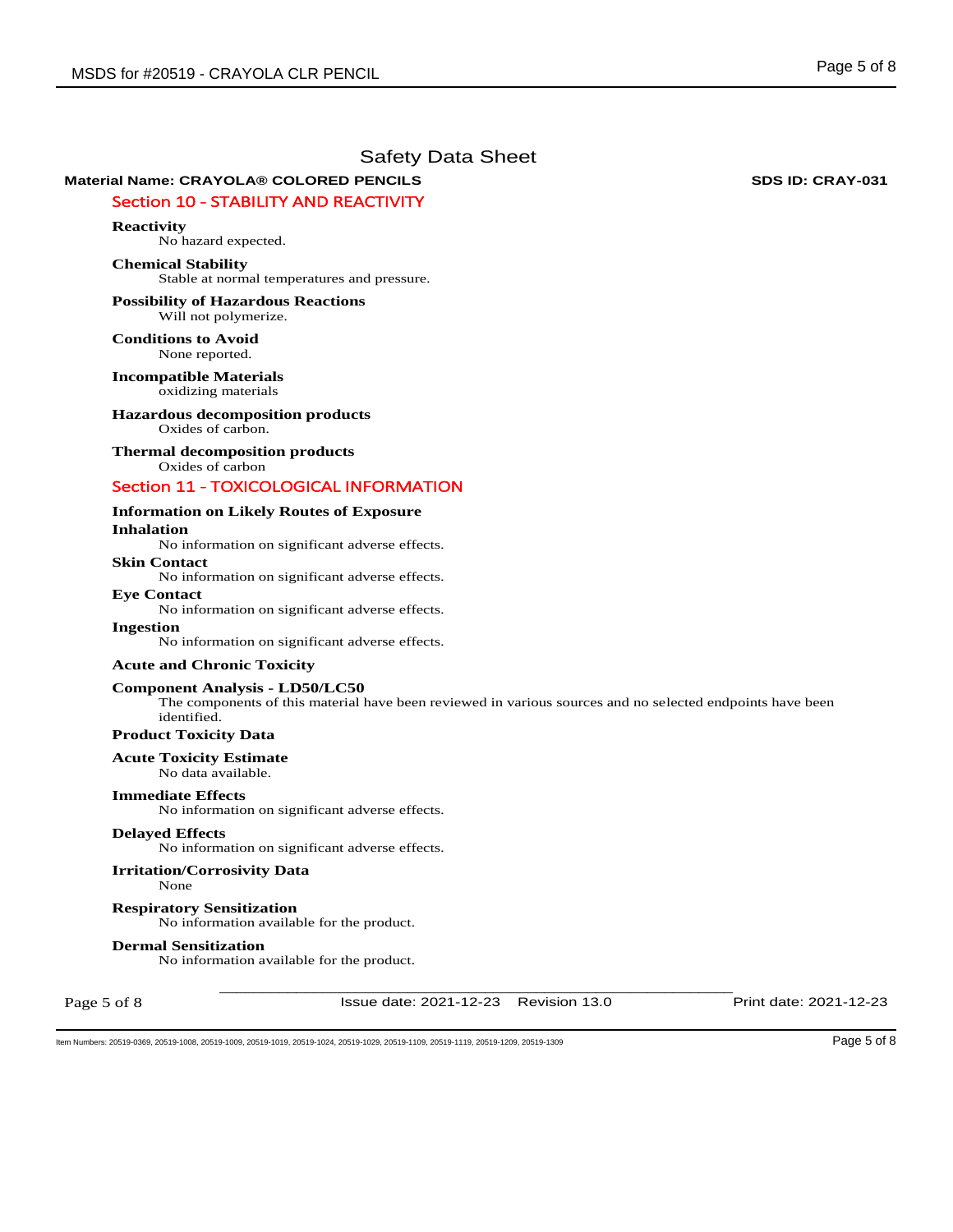# **Material Name: CRAYOLA® COLORED PENCILS SDS ID: CRAY-031 SDS ID: CRAY-031**

## Section 10 - STABILITY AND REACTIVITY

## **Reactivity**

No hazard expected.

## **Chemical Stability**

Stable at normal temperatures and pressure.

#### **Possibility of Hazardous Reactions** Will not polymerize.

**Conditions to Avoid** None reported.

**Incompatible Materials** oxidizing materials

## **Hazardous decomposition products**

Oxides of carbon.

## **Thermal decomposition products**

Oxides of carbon

## Section 11 - TOXICOLOGICAL INFORMATION

## **Information on Likely Routes of Exposure Inhalation**

No information on significant adverse effects.

## **Skin Contact**

No information on significant adverse effects.

## **Eye Contact**

No information on significant adverse effects.

## **Ingestion**

No information on significant adverse effects.

## **Acute and Chronic Toxicity**

## **Component Analysis - LD50/LC50**

The components of this material have been reviewed in various sources and no selected endpoints have been identified.

## **Product Toxicity Data**

#### **Acute Toxicity Estimate**

No data available.

#### **Immediate Effects**

No information on significant adverse effects.

## **Delayed Effects**

No information on significant adverse effects.

## **Irritation/Corrosivity Data**

None

## **Respiratory Sensitization**

No information available for the product.

#### **Dermal Sensitization**

No information available for the product.

Page 5 of 8

\_\_\_\_\_\_\_\_\_\_\_\_\_\_\_\_\_\_\_\_\_\_\_\_\_\_\_\_\_\_\_\_\_\_\_\_\_\_\_\_\_\_\_\_\_\_\_\_\_\_\_\_\_\_\_\_\_\_\_\_ Issue date: 2021-12-23 Revision 13.0 Print date: 2021-12-23

Item Numbers: 20519-0369, 20519-1008, 20519-1009, 20519-1019, 20519-1029, 20519-1029, 20519-1119, 20519-1119, 20519-1209, 20519-1309 Page 5 of 8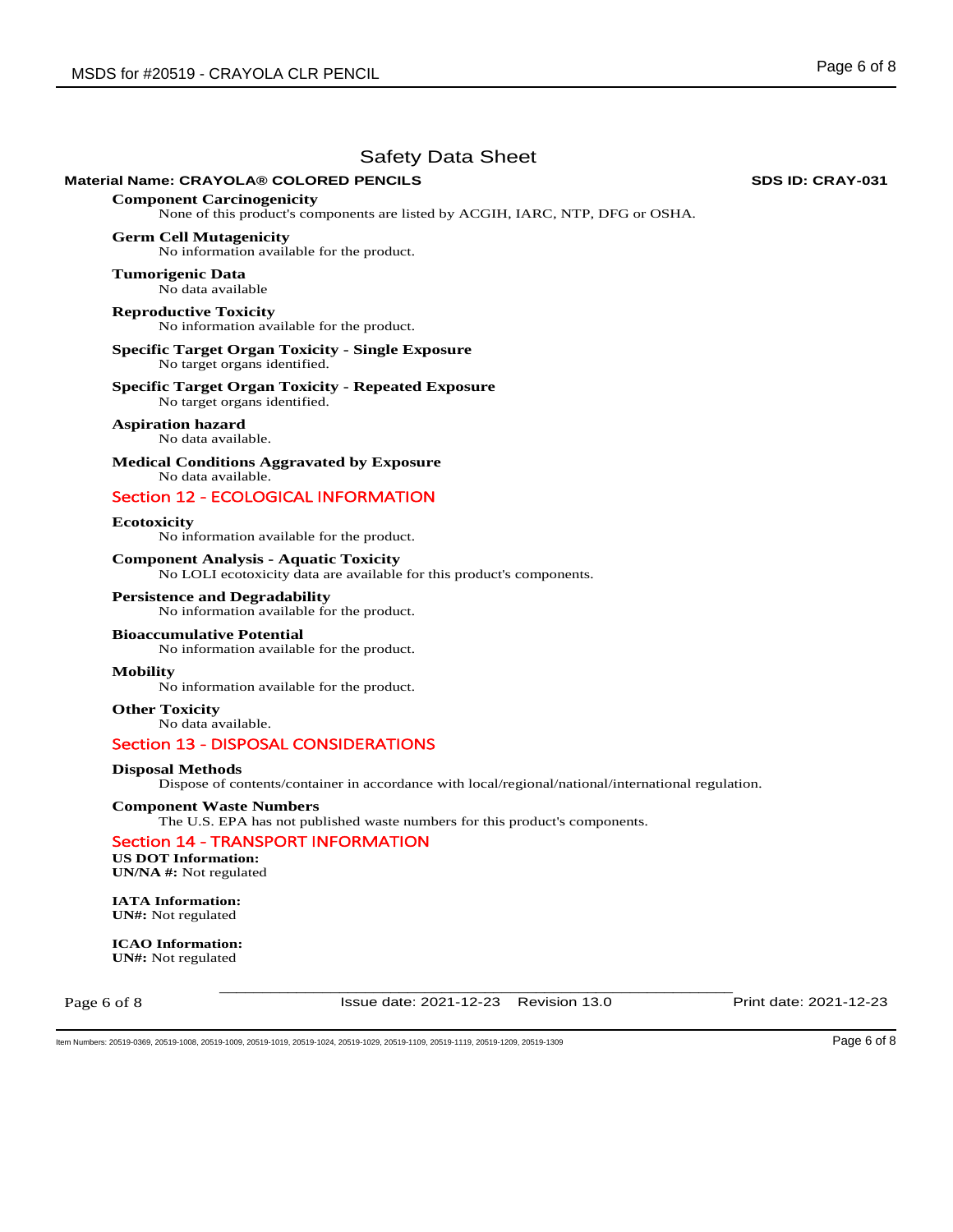## **Material Name: CRAYOLA® COLORED PENCILS SDS ID: CRAY-031 SDS ID: CRAY-031**

**Component Carcinogenicity**  None of this product's components are listed by ACGIH, IARC, NTP, DFG or OSHA.

## **Germ Cell Mutagenicity**

No information available for the product.

**Tumorigenic Data**  No data available

# **Reproductive Toxicity**

No information available for the product.

#### **Specific Target Organ Toxicity - Single Exposure**  No target organs identified.

**Specific Target Organ Toxicity - Repeated Exposure** 

No target organs identified.

#### **Aspiration hazard**  No data available.

**Medical Conditions Aggravated by Exposure** No data available.

# Section 12 - ECOLOGICAL INFORMATION

**Ecotoxicity** 

No information available for the product.

**Component Analysis - Aquatic Toxicity**  No LOLI ecotoxicity data are available for this product's components.

**Persistence and Degradability**  No information available for the product.

## **Bioaccumulative Potential**

No information available for the product.

## **Mobility**

No information available for the product.

**Other Toxicity** No data available.

## Section 13 - DISPOSAL CONSIDERATIONS

## **Disposal Methods**

Dispose of contents/container in accordance with local/regional/national/international regulation.

## **Component Waste Numbers**

The U.S. EPA has not published waste numbers for this product's components.

## Section 14 - TRANSPORT INFORMATION

**US DOT Information: UN/NA #:** Not regulated

**IATA Information: UN#:** Not regulated

**ICAO Information: UN#:** Not regulated

Page 6 of 8

Issue date: 2021-12-23 Revision 13.0 Print date: 2021-12-23

\_\_\_\_\_\_\_\_\_\_\_\_\_\_\_\_\_\_\_\_\_\_\_\_\_\_\_\_\_\_\_\_\_\_\_\_\_\_\_\_\_\_\_\_\_\_\_\_\_\_\_\_\_\_\_\_\_\_\_\_

Item Numbers: 20519-0369, 20519-1008, 20519-1009, 20519-1019, 20519-1029, 20519-1029, 20519-1119, 20519-1119, 20519-1209, 20519-1309 Page 6 of 8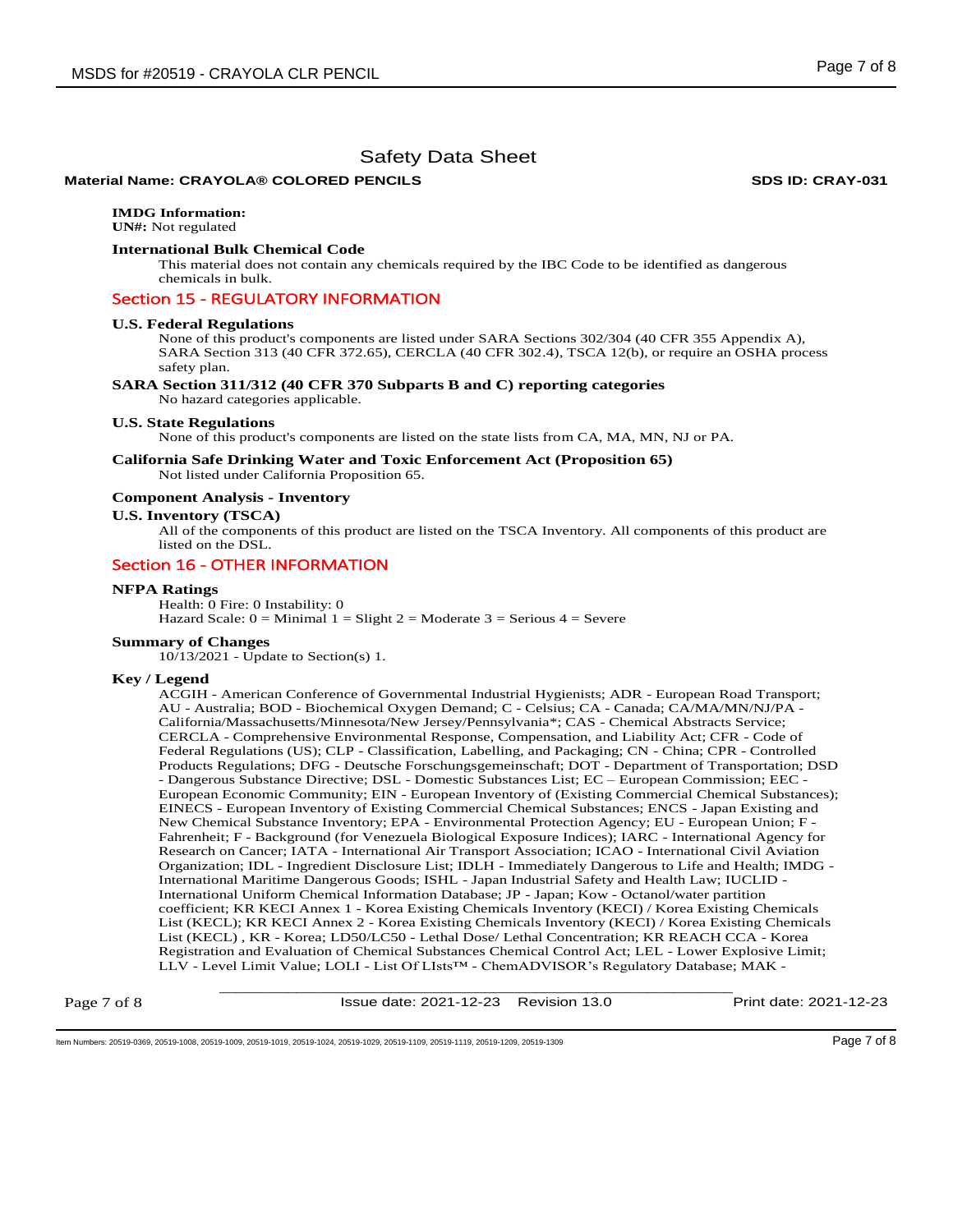## **Material Name: CRAYOLA® COLORED PENCILS SDS ID: CRAY-031 SDS ID: CRAY-031**

# **IMDG Information:**

**UN#:** Not regulated

## **International Bulk Chemical Code**

This material does not contain any chemicals required by the IBC Code to be identified as dangerous chemicals in bulk.

## Section 15 - REGULATORY INFORMATION

#### **U.S. Federal Regulations**

None of this product's components are listed under SARA Sections 302/304 (40 CFR 355 Appendix A), SARA Section 313 (40 CFR 372.65), CERCLA (40 CFR 302.4), TSCA 12(b), or require an OSHA process safety plan.

#### **SARA Section 311/312 (40 CFR 370 Subparts B and C) reporting categories**

No hazard categories applicable.

#### **U.S. State Regulations**

None of this product's components are listed on the state lists from CA, MA, MN, NJ or PA.

## **California Safe Drinking Water and Toxic Enforcement Act (Proposition 65)**  Not listed under California Proposition 65.

#### **Component Analysis - Inventory**

#### **U.S. Inventory (TSCA)**

All of the components of this product are listed on the TSCA Inventory. All components of this product are listed on the DSL.

# Section 16 - OTHER INFORMATION

## **NFPA Ratings**

Health: 0 Fire: 0 Instability: 0

Hazard Scale:  $0 =$  Minimal  $1 =$  Slight  $2 =$  Moderate  $3 =$  Serious  $4 =$  Severe

#### **Summary of Changes**

10/13/2021 - Update to Section(s) 1.

#### **Key / Legend**

ACGIH - American Conference of Governmental Industrial Hygienists; ADR - European Road Transport; AU - Australia; BOD - Biochemical Oxygen Demand; C - Celsius; CA - Canada; CA/MA/MN/NJ/PA - California/Massachusetts/Minnesota/New Jersey/Pennsylvania\*; CAS - Chemical Abstracts Service; CERCLA - Comprehensive Environmental Response, Compensation, and Liability Act; CFR - Code of Federal Regulations (US); CLP - Classification, Labelling, and Packaging; CN - China; CPR - Controlled Products Regulations; DFG - Deutsche Forschungsgemeinschaft; DOT - Department of Transportation; DSD - Dangerous Substance Directive; DSL - Domestic Substances List; EC – European Commission; EEC - European Economic Community; EIN - European Inventory of (Existing Commercial Chemical Substances); EINECS - European Inventory of Existing Commercial Chemical Substances; ENCS - Japan Existing and New Chemical Substance Inventory; EPA - Environmental Protection Agency; EU - European Union; F - Fahrenheit; F - Background (for Venezuela Biological Exposure Indices); IARC - International Agency for Research on Cancer; IATA - International Air Transport Association; ICAO - International Civil Aviation Organization; IDL - Ingredient Disclosure List; IDLH - Immediately Dangerous to Life and Health; IMDG - International Maritime Dangerous Goods; ISHL - Japan Industrial Safety and Health Law; IUCLID - International Uniform Chemical Information Database; JP - Japan; Kow - Octanol/water partition coefficient; KR KECI Annex 1 - Korea Existing Chemicals Inventory (KECI) / Korea Existing Chemicals List (KECL); KR KECI Annex 2 - Korea Existing Chemicals Inventory (KECI) / Korea Existing Chemicals List (KECL) , KR - Korea; LD50/LC50 - Lethal Dose/ Lethal Concentration; KR REACH CCA - Korea Registration and Evaluation of Chemical Substances Chemical Control Act; LEL - Lower Explosive Limit; LLV - Level Limit Value; LOLI - List Of LIsts™ - ChemADVISOR's Regulatory Database; MAK -

Page 7 of 8

\_\_\_\_\_\_\_\_\_\_\_\_\_\_\_\_\_\_\_\_\_\_\_\_\_\_\_\_\_\_\_\_\_\_\_\_\_\_\_\_\_\_\_\_\_\_\_\_\_\_\_\_\_\_\_\_\_\_\_\_ Issue date: 2021-12-23 Revision 13.0 Print date: 2021-12-23

Item Numbers: 20519-0369, 20519-1008, 20519-1019, 20519-1019, 20519-1029, 20519-1129, 20519-1119, 20519-1119, 20519-1209, 20519-1309 Page 7 of 8